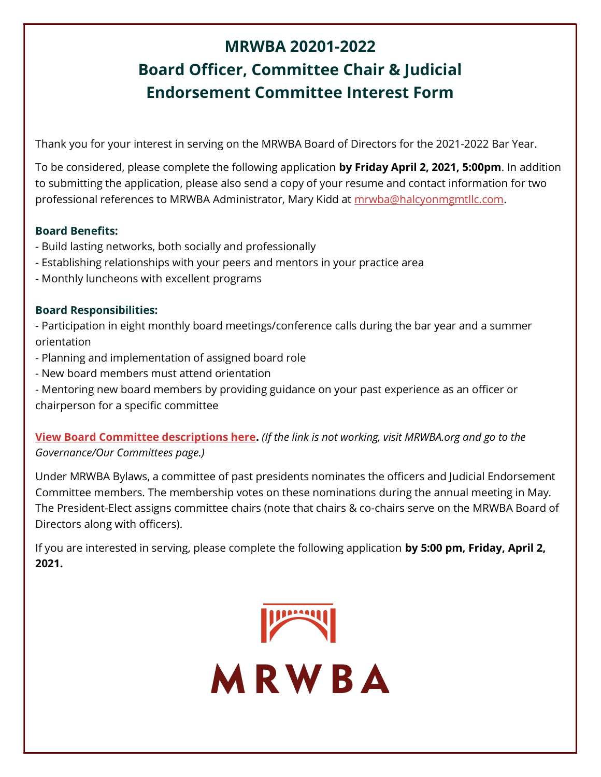# MRWBA 20201-2022 Board Officer, Committee Chair & Judicial Endorsement Committee Interest Form

Thank you for your interest in serving on the MRWBA Board of Directors for the 2021-2022 Bar Year.

To be considered, please complete the following application by Friday April 2, 2021, 5:00pm. In addition to submitting the application, please also send a copy of your resume and contact information for two professional references to MRWBA Administrator, Mary Kidd at mrwba@halcyonmgmtllc.com.

#### Board Benefits:

- Build lasting networks, both socially and professionally
- Establishing relationships with your peers and mentors in your practice area
- Monthly luncheons with excellent programs

#### Board Responsibilities:

- Participation in eight monthly board meetings/conference calls during the bar year and a summer orientation

- Planning and implementation of assigned board role
- New board members must attend orientation
- Mentoring new board members by providing guidance on your past experience as an officer or chairperson for a specific committee

### View Board Committee descriptions here. (If the link is not working, visit MRWBA.org and go to the Governance/Our Committees page.)

Under MRWBA Bylaws, a committee of past presidents nominates the officers and Judicial Endorsement Committee members. The membership votes on these nominations during the annual meeting in May. The President-Elect assigns committee chairs (note that chairs & co-chairs serve on the MRWBA Board of Directors along with officers).

If you are interested in serving, please complete the following application by 5:00 pm, Friday, April 2, 2021.

MRWBA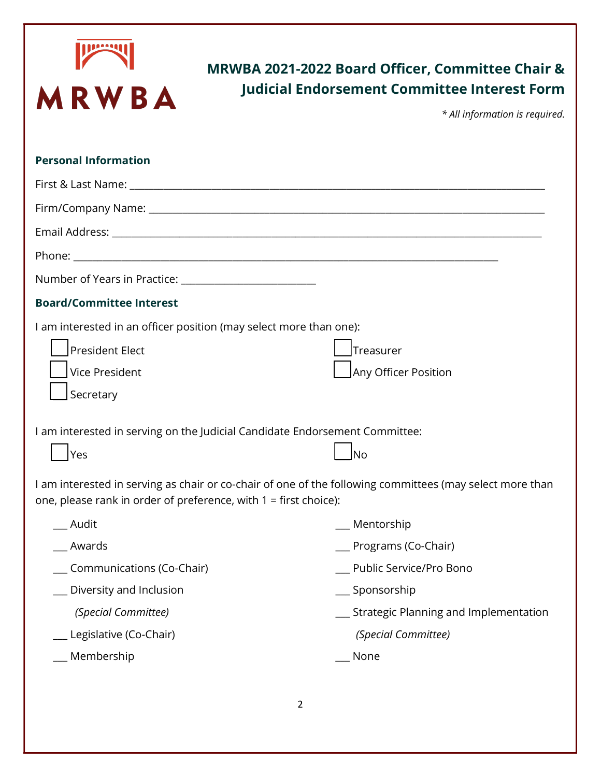

## MRWBA 2021-2022 Board Officer, Committee Chair & Judicial Endorsement Committee Interest Form

\* All information is required.

| <b>Personal Information</b>                                                                                                                                                  |                                         |
|------------------------------------------------------------------------------------------------------------------------------------------------------------------------------|-----------------------------------------|
|                                                                                                                                                                              |                                         |
|                                                                                                                                                                              |                                         |
|                                                                                                                                                                              |                                         |
|                                                                                                                                                                              |                                         |
|                                                                                                                                                                              |                                         |
| <b>Board/Committee Interest</b>                                                                                                                                              |                                         |
| I am interested in an officer position (may select more than one):<br><b>President Elect</b><br>Vice President<br>Secretary                                                  | Treasurer<br>Any Officer Position       |
| I am interested in serving on the Judicial Candidate Endorsement Committee:<br><b>Yes</b>                                                                                    | <b>INo</b>                              |
| I am interested in serving as chair or co-chair of one of the following committees (may select more than<br>one, please rank in order of preference, with 1 = first choice): |                                         |
| _ Audit                                                                                                                                                                      | $\_\_\$ Mentorship                      |
| _ Awards                                                                                                                                                                     | __ Programs (Co-Chair)                  |
| Communications (Co-Chair)                                                                                                                                                    | Public Service/Pro Bono                 |
| Diversity and Inclusion                                                                                                                                                      | __ Sponsorship                          |
| (Special Committee)                                                                                                                                                          | _ Strategic Planning and Implementation |
| _ Legislative (Co-Chair)                                                                                                                                                     | (Special Committee)                     |
| Membership                                                                                                                                                                   | None                                    |